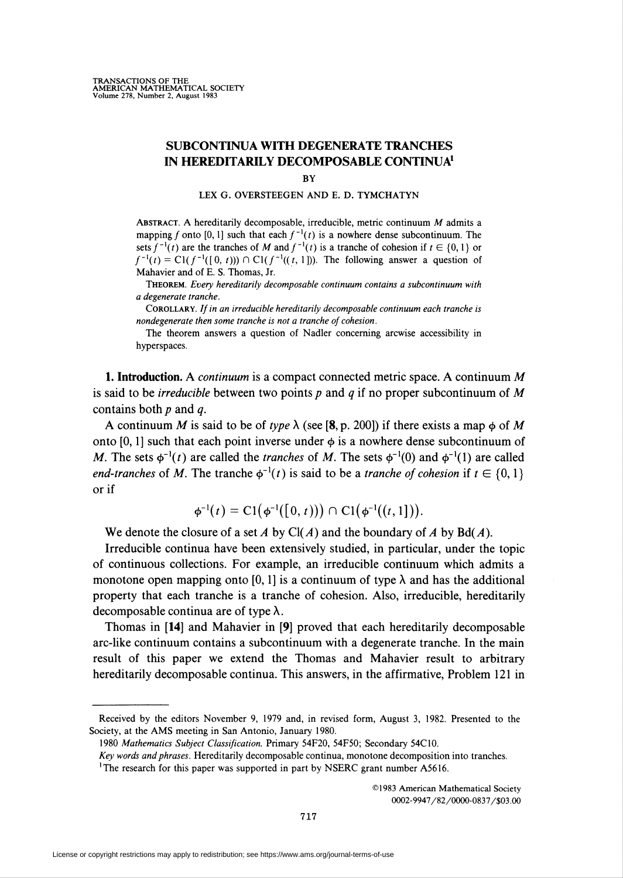## SUBCONTINUA WITH DEGENERATE TRANCHES IN HEREDITARILY DECOMPOSABLE CONTINUA1

**BY** 

## LEX G. OVERSTEEGEN AND E. D. TYMCHATYN

Abstract. A hereditarily decomposable, irreducible, metric continuum M admits a mapping f onto [0, 1] such that each  $f^{-1}(t)$  is a nowhere dense subcontinuum. The sets  $f^{-1}(t)$  are the tranches of M and  $f^{-1}(t)$  is a tranche of cohesion if  $t \in \{0,1\}$  or  $f^{-1}(t) = C1(f^{-1}([0, t))) \cap C1(f^{-1}((t, 1]))$ . The following answer a question of Mahavier and of E. S. Thomas, Jr.

Theorem. Every hereditarily decomposable continuum contains a subcontinuum with a degenerate tranche.

Corollary. If in an irreducible hereditarily decomposable continuum each tranche is nondegenerate then some tranche is not a tranche of cohesion.

The theorem answers a question of Nadler concerning arcwise accessibility in hyperspaces.

**1. Introduction.** A *continuum* is a compact connected metric space. A continuum  $M$ is said to be *irreducible* between two points p and q if no proper subcontinuum of M contains both  $p$  and  $q$ .

A continuum M is said to be of type  $\lambda$  (see [8, p. 200]) if there exists a map  $\phi$  of M onto [0, 1] such that each point inverse under  $\phi$  is a nowhere dense subcontinuum of M. The sets  $\phi^{-1}(t)$  are called the *tranches* of M. The sets  $\phi^{-1}(0)$  and  $\phi^{-1}(1)$  are called end-tranches of M. The tranche  $\phi^{-1}(t)$  is said to be a tranche of cohesion if  $t \in \{0,1\}$ or if

$$
\phi^{-1}(t) = C1(\phi^{-1}([0, t))) \cap C1(\phi^{-1}((t, 1))).
$$

We denote the closure of a set A by Cl(A) and the boundary of A by Bd(A).

Irreducible continua have been extensively studied, in particular, under the topic of continuous collections. For example, an irreducible continuum which admits a monotone open mapping onto [0, 1] is a continuum of type  $\lambda$  and has the additional property that each tranche is a tranche of cohesion. Also, irreducible, hereditarily decomposable continua are of type  $\lambda$ .

Thomas in [14] and Mahavier in [9] proved that each hereditarily decomposable arc-like continuum contains a subcontinuum with a degenerate tranche. In the main result of this paper we extend the Thomas and Mahavier result to arbitrary hereditarily decomposable continua. This answers, in the affirmative, Problem 121 in

©1983 American Mathematical Society 0O02-9947/82/0O0O-0837/S03.0O

Received by the editors November 9, 1979 and, in revised form, August 3, 1982. Presented to the Society, at the AMS meeting in San Antonio, January 1980.

<sup>1980</sup> Mathematics Subject Classification. Primary 54F20, 54F50; Secondary 54C10.

Key words and phrases. Hereditarily decomposable continua, monotone decomposition into tranches. <sup>1</sup>The research for this paper was supported in part by NSERC grant number A5616.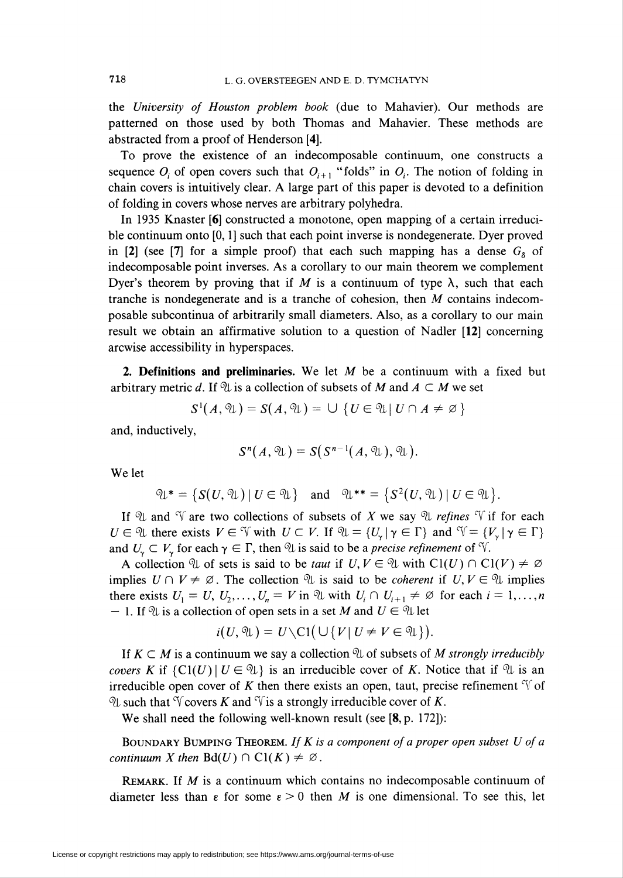the University of Houston problem book (due to Mahavier). Our methods are patterned on those used by both Thomas and Mahavier. These methods are abstracted from a proof of Henderson [4].

To prove the existence of an indecomposable continuum, one constructs a sequence  $O_i$  of open covers such that  $O_{i+1}$  "folds" in  $O_i$ . The notion of folding in chain covers is intuitively clear. A large part of this paper is devoted to a definition of folding in covers whose nerves are arbitrary polyhedra.

In 1935 Knaster [6] constructed a monotone, open mapping of a certain irreducible continuum onto [0, 1] such that each point inverse is nondegenerate. Dyer proved in [2] (see [7] for a simple proof) that each such mapping has a dense  $G_8$  of indecomposable point inverses. As a corollary to our main theorem we complement Dyer's theorem by proving that if M is a continuum of type  $\lambda$ , such that each tranche is nondegenerate and is a tranche of cohesion, then  $M$  contains indecomposable subcontinua of arbitrarily small diameters. Also, as a corollary to our main result we obtain an affirmative solution to a question of Nadler [12] concerning arcwise accessibility in hyperspaces.

2. Definitions and preliminaries. We let  $M$  be a continuum with a fixed but arbitrary metric d. If  $\mathfrak{N}$  is a collection of subsets of M and  $A \subset M$  we set

$$
S^1(A, \mathcal{U}) = S(A, \mathcal{U}) = \bigcup \{ U \in \mathcal{U} | U \cap A \neq \emptyset \}
$$

and, inductively,

$$
S^{n}(A, \mathfrak{A})=S(S^{n-1}(A, \mathfrak{A}), \mathfrak{A}).
$$

We let

$$
\mathfrak{A}^* = \{ S(U, \mathfrak{A}) \mid U \in \mathfrak{A} \} \quad \text{and} \quad \mathfrak{A}^{**} = \{ S^2(U, \mathfrak{A}) \mid U \in \mathfrak{A} \}.
$$

If  $\mathcal{U}$  and  $\mathcal{V}$  are two collections of subsets of X we say  $\mathcal{U}$  refines  $\mathcal{V}$  if for each  $U \in \mathcal{U}$  there exists  $V \in \mathcal{V}$  with  $U \subset V$ . If  $\mathcal{U} = \{U_{\nu} | \gamma \in \Gamma\}$  and  $\mathcal{V} = \{V_{\nu} | \gamma \in \Gamma\}$ and  $U_{\gamma} \subset V_{\gamma}$  for each  $\gamma \in \Gamma$ , then  $\mathcal{U}$  is said to be a *precise refinement* of  $\tilde{\mathcal{V}}$ .

A collection  $\mathcal U$  of sets is said to be *taut* if  $U, V \in \mathcal U$  with  $Cl(U) \cap Cl(V) \neq \emptyset$ implies  $U \cap V \neq \emptyset$ . The collection  $\mathcal{U}$  is said to be *coherent* if  $U, V \in \mathcal{U}$  implies there exists  $U_1 = U, U_2, \ldots, U_n = V$  in  $\mathcal{U}$  with  $U_i \cap U_{i+1} \neq \emptyset$  for each  $i = 1, \ldots, n$ – 1. If  $\mathcal{U}$  is a collection of open sets in a set M and  $U \in \mathcal{U}$  let

$$
i(U, \mathfrak{A}) = U \setminus \text{Cl}(\bigcup \{V | U \neq V \in \mathfrak{A}\}).
$$

If  $K \subset M$  is a continuum we say a collection  $\mathcal U$  of subsets of M strongly irreducibly covers K if  $\{C_l(U) | U \in \mathcal{U}\}\$ is an irreducible cover of K. Notice that if  $\mathcal{U}$  is an irreducible open cover of K then there exists an open, taut, precise refinement  $\mathcal V$  of  $\mathcal{U}$  such that V covers K and V is a strongly irreducible cover of K.

We shall need the following well-known result (see [8, p. 172]):

BOUNDARY BUMPING THEOREM. If  $K$  is a component of a proper open subset  $U$  of a continuum X then  $Bd(U) \cap Cl(K) \neq \emptyset$ .

REMARK. If  $M$  is a continuum which contains no indecomposable continuum of diameter less than  $\epsilon$  for some  $\epsilon > 0$  then M is one dimensional. To see this, let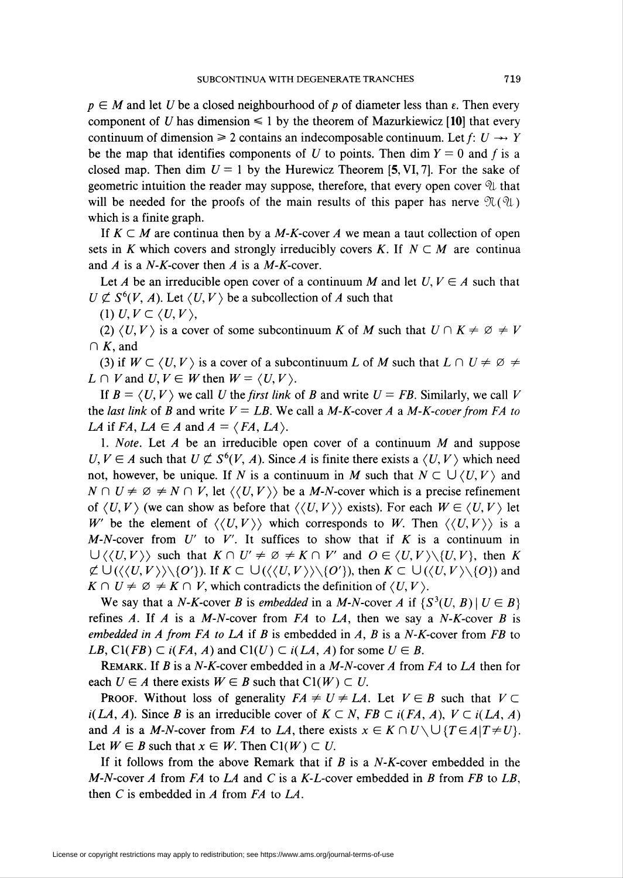$p \in M$  and let U be a closed neighbourhood of p of diameter less than  $\varepsilon$ . Then every component of U has dimension  $\leq 1$  by the theorem of Mazurkiewicz [10] that every continuum of dimension  $\geq 2$  contains an indecomposable continuum. Let f:  $U \rightarrow Y$ be the map that identifies components of U to points. Then dim  $Y = 0$  and f is a closed map. Then dim  $U = 1$  by the Hurewicz Theorem [5, VI, 7]. For the sake of geometric intuition the reader may suppose, therefore, that every open cover  $\mathcal{U}$  that will be needed for the proofs of the main results of this paper has nerve  $\mathfrak{N}(\mathfrak{A})$ which is a finite graph.

If  $K \subset M$  are continua then by a M-K-cover A we mean a taut collection of open sets in K which covers and strongly irreducibly covers K. If  $N \subset M$  are continua and A is a  $N-K$ -cover then A is a  $M-K$ -cover.

Let A be an irreducible open cover of a continuum M and let  $U, V \in A$  such that  $U \not\subset S^6(V, A)$ . Let  $\langle U, V \rangle$  be a subcollection of A such that

(1)  $U, V \subset \langle U, V \rangle$ ,

(2)  $\langle U, V \rangle$  is a cover of some subcontinuum K of M such that  $U \cap K \neq \emptyset \neq V$  $\cap K$ , and

(3) if  $W \subset \langle U, V \rangle$  is a cover of a subcontinuum L of M such that  $L \cap U \neq \emptyset$   $\neq$  $L \cap V$  and  $U, V \in W$  then  $W = \langle U, V \rangle$ .

If  $B = \langle U, V \rangle$  we call U the first link of B and write  $U = FB$ . Similarly, we call V the last link of B and write  $V = LB$ . We call a M-K-cover A a M-K-cover from FA to LA if FA, LA  $\in$  A and  $A = \langle FA, LA \rangle$ .

1. Note. Let A be an irreducible open cover of a continuum  $M$  and suppose  $U, V \in A$  such that  $U \not\subset S^6(V, A)$ . Since A is finite there exists a  $\langle U, V \rangle$  which need not, however, be unique. If N is a continuum in M such that  $N \subset \bigcup \langle U, V \rangle$  and  $N \cap U \neq \emptyset \neq N \cap V$ , let  $\langle \langle U, V \rangle \rangle$  be a M-N-cover which is a precise refinement of  $\langle U, V \rangle$  (we can show as before that  $\langle \langle U, V \rangle \rangle$  exists). For each  $W \in \langle U, V \rangle$  let W be the element of  $\langle\langle U, V \rangle \rangle$  which corresponds to W. Then  $\langle\langle U, V \rangle \rangle$  is a M-N-cover from  $U'$  to V'. It suffices to show that if K is a continuum in  $\bigcup \langle \langle U, V \rangle \rangle$  such that  $K \cap U' \neq \emptyset \neq K \cap V'$  and  $O \in \langle U, V \rangle \setminus \{U, V\}$ , then K  $\not\subset \bigcup (\langle U, V \rangle \setminus \{O' \} \rangle$ . If  $K \subset \bigcup (\langle U, V \rangle \setminus \{O' \} \rangle$ , then  $K \subset \bigcup (\langle U, V \rangle \setminus \{O \} \rangle$  and  $K \cap U \neq \emptyset \neq K \cap V$ , which contradicts the definition of  $\langle U, V \rangle$ .

We say that a N-K-cover B is embedded in a M-N-cover A if  ${S^3(U, B) \mid U \in B}$ refines A. If A is a M-N-cover from FA to LA, then we say a N-K-cover B is embedded in A from FA to LA if B is embedded in A, B is a N-K-cover from FB to LB, Cl(FB)  $\subset i(FA, A)$  and Cl(U)  $\subset i(LA, A)$  for some  $U \in B$ .

REMARK. If B is a N-K-cover embedded in a M-N-cover A from FA to LA then for each  $U \in A$  there exists  $W \in B$  such that  $Cl(W) \subset U$ .

**PROOF.** Without loss of generality  $FA \neq U \neq LA$ . Let  $V \in B$  such that  $V \subset$  $i(LA, A)$ . Since B is an irreducible cover of  $K \subset N$ , FB  $\subset i(FA, A)$ ,  $V \subset i(LA, A)$ and A is a M-N-cover from FA to LA, there exists  $x \in K \cap U \setminus \bigcup \{T \in A | T \neq U\}$ . Let  $W \in B$  such that  $x \in W$ . Then  $Cl(W) \subset U$ .

If it follows from the above Remark that if  $B$  is a N-K-cover embedded in the M-N-cover A from FA to LA and C is a K-L-cover embedded in B from FB to LB, then  $C$  is embedded in  $A$  from  $FA$  to  $LA$ .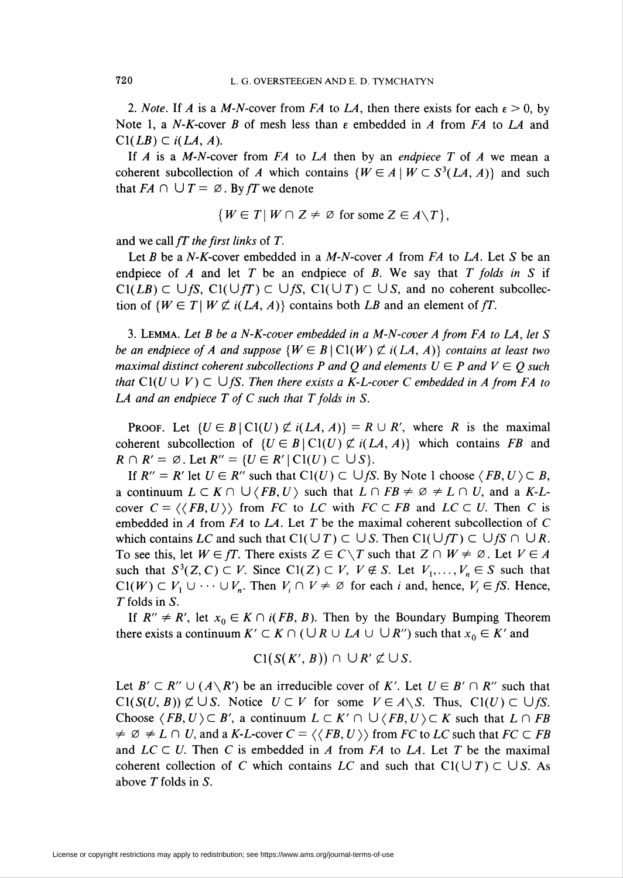2. Note. If A is a M-N-cover from FA to LA, then there exists for each  $\varepsilon > 0$ , by Note 1, a N-K-cover B of mesh less than  $\varepsilon$  embedded in A from FA to LA and  $Cl(LB) \subset i(LA, A).$ 

If A is a M-N-cover from  $FA$  to  $LA$  then by an endpiece T of A we mean a coherent subcollection of A which contains  $\{W \in A \mid W \subset S^3(LA, A)\}\$  and such that  $FA \cap \bigcup T = \emptyset$ . By fT we denote

$$
\{W \in T \mid W \cap Z \neq \emptyset \text{ for some } Z \in A \setminus T\},\
$$

and we call  $fT$  the first links of  $T$ .

Let B be a N-K-cover embedded in a M-N-cover A from FA to LA. Let S be an endpiece of A and let T be an endpiece of B. We say that T folds in S if  $Cl(LB) \subset \bigcup fS$ ,  $Cl(\bigcup fT) \subset \bigcup fS$ ,  $Cl(\bigcup T) \subset \bigcup S$ , and no coherent subcollection of  $\{W \in T \mid W \nsubseteq i(LA, A)\}\)$  contains both LB and an element of fT.

3. Lemma. Let B be a N-K-cover embedded in a M-N-cover A from FA to LA, let S be an endpiece of A and suppose  $\{W \in B \mid C\}(W) \nsubseteq i(LA, A)\}$  contains at least two maximal distinct coherent subcollections P and Q and elements  $U \in P$  and  $V \in Q$  such that  $Cl(U \cup V) \subset \bigcup fS$ . Then there exists a K-L-cover C embedded in A from FA to LA and an endpiece  $T$  of  $C$  such that  $T$  folds in  $S$ .

**PROOF.** Let  $\{U \in B \mid C\mathbb{1}(U) \not\subset i(LA, A)\} = R \cup R'$ , where R is the maximal coherent subcollection of  $\{U \in B \mid C\mathcal{U}\) \nsubseteq i(LA, A)\}$  which contains FB and  $R \cap R' = \emptyset$ . Let  $R'' = \{U \in R' \mid \text{Cl}(U) \subset \bigcup S\}.$ 

If  $R'' = R'$  let  $U \in R''$  such that  $Cl(U) \subset \bigcup fS$ . By Note 1 choose  $\langle FB, U \rangle \subset B$ , a continuum  $L \subset K \cap \bigcup \langle FB, U \rangle$  such that  $L \cap FB \neq \emptyset \neq L \cap U$ , and a K-Lcover  $C = \langle \langle FB, U \rangle \rangle$  from FC to LC with  $FC \subset FB$  and  $LC \subset U$ . Then C is embedded in A from FA to LA. Let T be the maximal coherent subcollection of C which contains LC and such that  $Cl(\cup T) \subset \cup S$ . Then  $Cl(\cup fT) \subset \cup fS \cap \cup R$ . To see this, let  $W \in fT$ . There exists  $Z \in C \setminus T$  such that  $Z \cap W \neq \emptyset$ . Let  $V \in A$ such that  $S^3(Z, C) \subset V$ . Since  $Cl(Z) \subset V$ ,  $V \notin S$ . Let  $V_1, \ldots, V_n \in S$  such that  $Cl(W) \subset V_1 \cup \cdots \cup V_n$ . Then  $V_i \cap V \neq \emptyset$  for each *i* and, hence,  $V_i \in fS$ . Hence, T folds in S.

If  $R'' \neq R'$ , let  $x_0 \in K \cap i(FB, B)$ . Then by the Boundary Bumping Theorem there exists a continuum  $K' \subset K \cap (\bigcup R \cup LA \cup \bigcup R'')$  such that  $x_0 \in K'$  and

$$
Cl(S(K', B)) \cap \cup R' \not\subset \cup S.
$$

Let  $B' \subset R'' \cup (A \setminus R')$  be an irreducible cover of K'. Let  $U \in B' \cap R''$  such that  $Cl(S(U, B)) \not\subset \bigcup S$ . Notice  $U \subset V$  for some  $V \in A \setminus S$ . Thus,  $Cl(U) \subset \bigcup fS$ . Choose  $\langle FB, U \rangle \subset B'$ , a continuum  $L \subset K' \cap \bigcup \langle FB, U \rangle \subset K$  such that  $L \cap FB$  $\neq \emptyset \neq L \cap U$ , and a K-L-cover  $C = \langle \langle FB, U \rangle \rangle$  from FC to LC such that  $FC \subset FB$ and  $LC \subset U$ . Then C is embedded in A from FA to LA. Let T be the maximal coherent collection of C which contains LC and such that  $Cl(UT) \subset \bigcup S$ . As above T folds in S.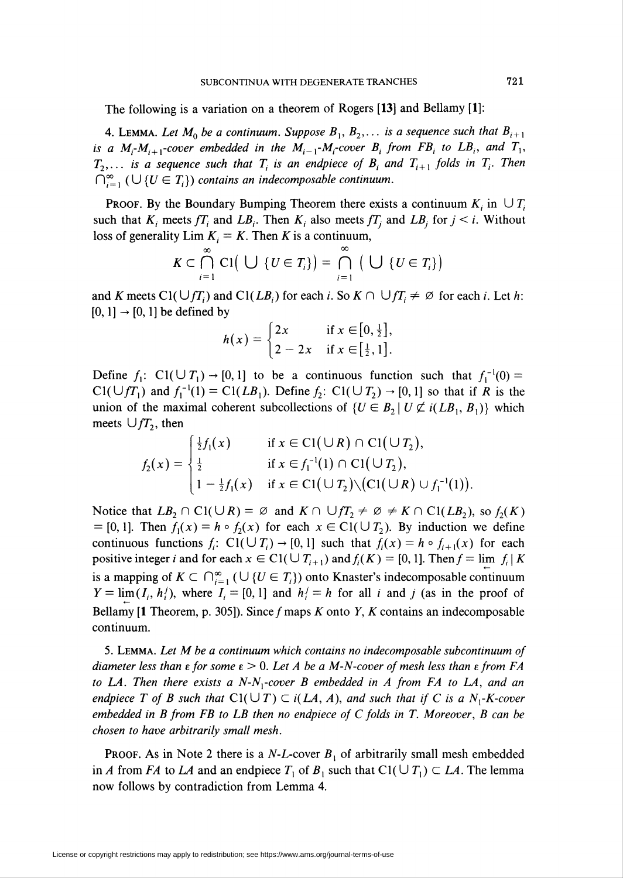The following is a variation on a theorem of Rogers [13] and Bellamy [1]:

4. LEMMA. Let  $M_0$  be a continuum. Suppose  $B_1, B_2,...$  is a sequence such that  $B_{i+1}$ is a M<sub>i</sub>-M<sub>i+1</sub>-cover embedded in the M<sub>i-1</sub>-M<sub>i</sub>-cover B<sub>i</sub> from FB<sub>i</sub> to LB<sub>i</sub>, and T<sub>1</sub>,  $T_2,\ldots$  is a sequence such that  $T_i$  is an endpiece of  $B_i$  and  $T_{i+1}$  folds in  $T_i$ . Then  $\bigcap_{i=1}^{\infty}$  ( $\bigcup$  { $U \in T_i$ }) contains an indecomposable continuum.

**PROOF.** By the Boundary Bumping Theorem there exists a continuum  $K_i$  in  $\cup T_i$ such that  $K_i$  meets  $f_i$  and  $LB_i$ . Then  $K_i$  also meets  $f_i$  and  $LB_i$  for  $j < i$ . Without loss of generality Lim  $K_i = K$ . Then K is a continuum,

$$
K\subset \bigcap_{i=1}^{\infty} \mathrm{Cl}\big(\bigcup \{U\in T_i\}\big)=\bigcap_{i=1}^{\infty} \big(\bigcup \{U\in T_i\}\big)
$$

and K meets Cl(  $\bigcup fT_i$ ) and Cl(  $LB_i$ ) for each i. So  $K \cap \bigcup fT_i \neq \emptyset$  for each i. Let h:  $[0, 1] \rightarrow [0, 1]$  be defined by

$$
h(x) = \begin{cases} 2x & \text{if } x \in [0, \frac{1}{2}], \\ 2 - 2x & \text{if } x \in [\frac{1}{2}, 1]. \end{cases}
$$

Define  $f_1$ : C1( $\cup T_1$ )  $\rightarrow$  [0, 1] to be a continuous function such that  $f_1^{-1}(0)$  =  $Cl(\bigcup fT_1)$  and  $f_1^{-1}(1) = Cl(LB_1)$ . Define  $f_2$ :  $Cl(\bigcup T_2) \rightarrow [0,1]$  so that if R is the union of the maximal coherent subcollections of  $\{U \in B_2 \mid U \nsubseteq i(LB_1, B_1)\}\$  which meets  $\bigcup fT_2$ , then

$$
f_2(x) = \begin{cases} \frac{1}{2}f_1(x) & \text{if } x \in \text{Cl}(\cup R) \cap \text{Cl}(\cup T_2), \\ \frac{1}{2} & \text{if } x \in f_1^{-1}(1) \cap \text{Cl}(\cup T_2), \\ 1 - \frac{1}{2}f_1(x) & \text{if } x \in \text{Cl}(\cup T_2) \setminus (\text{Cl}(\cup R) \cup f_1^{-1}(1)). \end{cases}
$$

Notice that  $LB_2 \cap \text{Cl}(\cup R) = \emptyset$  and  $K \cap \cup fT_2 \neq \emptyset \neq K \cap \text{Cl}(LB_2)$ , so  $f_2(K)$ = [0, 1]. Then  $f_1(x) = h \circ f_2(x)$  for each  $x \in \text{Cl}(\cup \mathcal{T}_2)$ . By induction we define continuous functions  $f_i$ : C1( $\cup T_i$ ) - [0, 1] such that  $f_i(x) = h \circ f_{i+1}(x)$  for each positive integer i and for each  $x \in \text{Cl}(\cup T_{i+1})$  and  $f_i(K) = [0,1]$ . Then  $f = \lim f_i | K$ is a mapping of  $K \subset \bigcap_{i=1}^{\infty} (\bigcup \{U \in T_i\})$  onto Knaster's indecomposable continuum  $Y = \lim (I_i, h_i)$ , where  $I_i = [0, 1]$  and  $h_i = h$  for all i and j (as in the proof of Bellamy [1 Theorem, p. 305]). Since  $f$  maps  $K$  onto  $Y$ ,  $K$  contains an indecomposable continuum.

5. Lemma. Let M be a continuum which contains no indecomposable subcontinuum of diameter less than  $\epsilon$  for some  $\epsilon > 0$ . Let A be a M-N-cover of mesh less than  $\epsilon$  from FA to LA. Then there exists a  $N-N_1$ -cover B embedded in A from FA to LA, and an endpiece T of B such that  $Cl(\cup T) \subset i(LA, A)$ , and such that if C is a N<sub>1</sub>-K-cover embedded in  $B$  from FB to  $LB$  then no endpiece of  $C$  folds in  $T$ . Moreover,  $B$  can be chosen to have arbitrarily small mesh.

**PROOF.** As in Note 2 there is a *N-L*-cover  $B_1$  of arbitrarily small mesh embedded in A from FA to LA and an endpiece  $T_1$  of  $B_1$  such that  $Cl(U T_1) \subset L\mathcal{A}$ . The lemma now follows by contradiction from Lemma 4.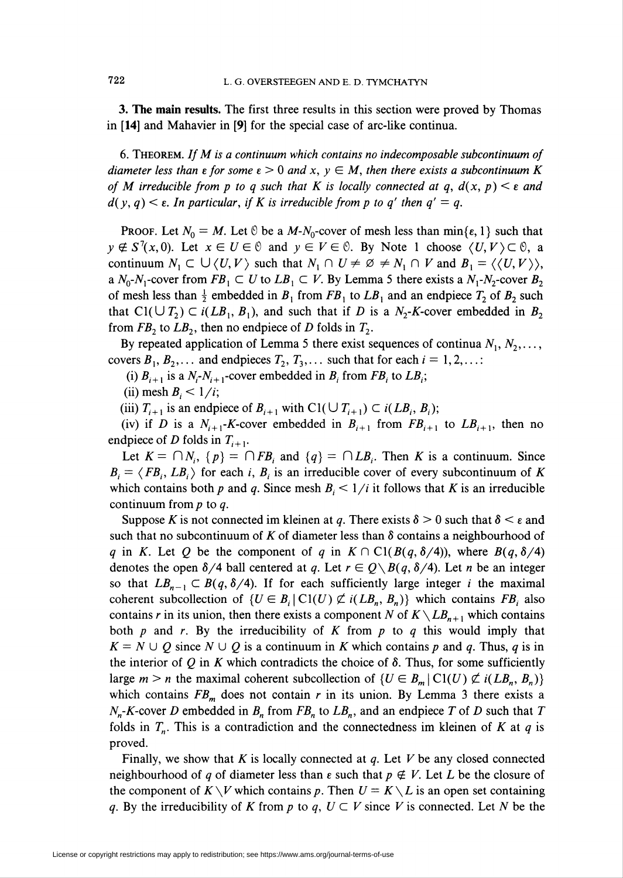3. The main results. The first three results in this section were proved by Thomas in [14] and Mahavier in [9] for the special case of arc-like continua.

6. Theorem. If M is a continuum which contains no indecomposable subcontinuum of diameter less than  $\epsilon$  for some  $\epsilon > 0$  and  $x, y \in M$ , then there exists a subcontinuum K of M irreducible from p to q such that K is locally connected at q,  $d(x, p) \leq \varepsilon$  and  $d(y, q) < \varepsilon$ . In particular, if K is irreducible from p to q' then  $q' = q$ .

**PROOF.** Let  $N_0 = M$ . Let  $\Theta$  be a  $M-N_0$ -cover of mesh less than  $\min\{\epsilon, 1\}$  such that  $y \notin S^7(x,0)$ . Let  $x \in U \in \mathcal{O}$  and  $y \in V \in \mathcal{O}$ . By Note 1 choose  $\langle U, V \rangle \subset \mathcal{O}$ , a continuum  $N_1 \subset \bigcup \langle U, V \rangle$  such that  $N_1 \cap U \neq \emptyset \neq N_1 \cap V$  and  $B_1 = \langle \langle U, V \rangle \rangle$ , a  $N_0-N_1$ -cover from  $FB_1 \subset U$  to  $LB_1 \subset V$ . By Lemma 5 there exists a  $N_1-N_2$ -cover  $B_2$ of mesh less than  $\frac{1}{2}$  embedded in  $B_1$  from  $FB_1$  to  $LB_1$  and an endpiece  $T_2$  of  $B_2$  such that  $Cl(\bigcup T_2) \subset i(LB_1, B_1)$ , and such that if D is a  $N_2$ -K-cover embedded in  $B_2$ from  $FB_2$  to  $LB_2$ , then no endpiece of D folds in  $T_2$ .

By repeated application of Lemma 5 there exist sequences of continua  $N_1, N_2, \ldots$ , covers  $B_1, B_2,...$  and endpieces  $T_2, T_3,...$  such that for each  $i = 1, 2,...$ :

(i)  $B_{i+1}$  is a  $N_i - N_{i+1}$ -cover embedded in  $B_i$  from  $FB_i$  to  $LB_i$ ;

(ii) mesh  $B_i < 1/i$ ;

(iii)  $T_{i+1}$  is an endpiece of  $B_{i+1}$  with  $Cl(\bigcup T_{i+1}) \subset i(LB_i, B_i);$ 

(iv) if D is a  $N_{i+1}$ -K-cover embedded in  $B_{i+1}$  from  $FB_{i+1}$  to  $LB_{i+1}$ , then no endpiece of D folds in  $T_{i+1}$ .

Let  $K = \bigcap N_i$ ,  $\{p\} = \bigcap FB_i$  and  $\{q\} = \bigcap LB_i$ . Then K is a continuum. Since  $B_i = \langle FB_i, LB_i \rangle$  for each i,  $B_i$  is an irreducible cover of every subcontinuum of K which contains both p and q. Since mesh  $B_i \leq 1/i$  it follows that K is an irreducible continuum from  $p$  to  $q$ .

Suppose K is not connected im kleinen at q. There exists  $\delta > 0$  such that  $\delta < \epsilon$  and such that no subcontinuum of K of diameter less than  $\delta$  contains a neighbourhood of q in K. Let Q be the component of q in  $K \cap Cl(B(q, \delta/4))$ , where  $B(q, \delta/4)$ denotes the open  $\delta/4$  ball centered at q. Let  $r \in Q \setminus B(q, \delta/4)$ . Let n be an integer so that  $LB_{n-1} \subset B(q, \delta/4)$ . If for each sufficiently large integer i the maximal coherent subcollection of  $\{U \in B_i \mid C_l(U) \not\subset i(LB_n, B_n)\}\$  which contains  $FB_i$  also contains r in its union, then there exists a component N of  $K\setminus LB_{n+1}$  which contains both p and r. By the irreducibility of K from p to q this would imply that  $K = N \cup Q$  since  $N \cup Q$  is a continuum in K which contains p and q. Thus, q is in the interior of Q in K which contradicts the choice of  $\delta$ . Thus, for some sufficiently large  $m > n$  the maximal coherent subcollection of  $\{U \in B_m \mid C\{(U)\nsubseteq i(LB_n, B_n)\}\}\$ which contains  $FB<sub>m</sub>$  does not contain r in its union. By Lemma 3 there exists a  $N_n$ -K-cover D embedded in  $B_n$  from  $FB_n$  to  $LB_n$ , and an endpiece T of D such that T folds in  $T_n$ . This is a contradiction and the connectedness im kleinen of K at q is proved.

Finally, we show that K is locally connected at  $q$ . Let V be any closed connected neighbourhood of q of diameter less than  $\epsilon$  such that  $p \notin V$ . Let L be the closure of the component of  $K\setminus V$  which contains p. Then  $U = K\setminus L$  is an open set containing q. By the irreducibility of K from p to q,  $U \subset V$  since V is connected. Let N be the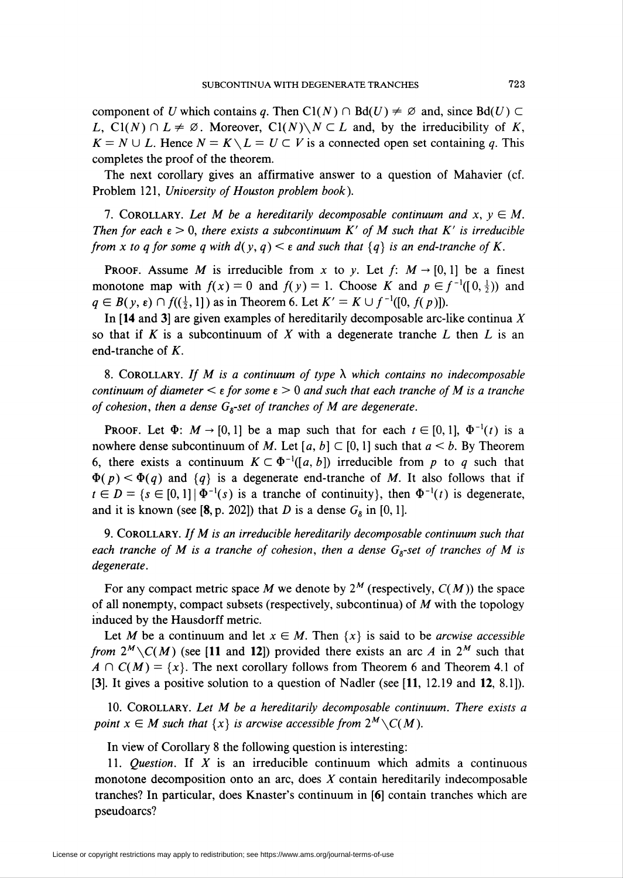component of U which contains q. Then C $\Gamma(N) \cap Bd(U) \neq \emptyset$  and, since  $Bd(U) \subset$ L,  $Cl(N) \cap L \neq \emptyset$ . Moreover,  $Cl(N) \setminus N \subset L$  and, by the irreducibility of K,  $K = N \cup L$ . Hence  $N = K \setminus L = U \subset V$  is a connected open set containing q. This completes the proof of the theorem.

The next corollary gives an affirmative answer to a question of Mahavier (cf. Problem 121, University of Houston problem book).

7. COROLLARY. Let M be a hereditarily decomposable continuum and  $x, y \in M$ . Then for each  $\epsilon > 0$ , there exists a subcontinuum K' of M such that K' is irreducible from x to q for some q with  $d(y, q) < \varepsilon$  and such that  $\{q\}$  is an end-tranche of K.

**PROOF.** Assume M is irreducible from x to y. Let  $f: M \rightarrow [0,1]$  be a finest monotone map with  $f(x) = 0$  and  $f(y) = 1$ . Choose K and  $p \in f^{-1}([0, \frac{1}{2}))$  and  $q \in B(y, \varepsilon) \cap f((\frac{1}{2}, 1])$  as in Theorem 6. Let  $K' = K \cup f^{-1}([0, f(p)])$ .

In [14 and 3] are given examples of hereditarily decomposable arc-like continua  $X$ so that if K is a subcontinuum of X with a degenerate tranche L then L is an end-tranche of  $K$ .

8. COROLLARY. If M is a continuum of type  $\lambda$  which contains no indecomposable continuum of diameter  $\leq \varepsilon$  for some  $\varepsilon > 0$  and such that each tranche of M is a tranche of cohesion, then a dense  $G_8$ -set of tranches of M are degenerate.

**PROOF.** Let  $\Phi$ :  $M \rightarrow [0, 1]$  be a map such that for each  $t \in [0, 1]$ ,  $\Phi^{-1}(t)$  is a nowhere dense subcontinuum of M. Let [a, b]  $\subset$  [0, 1] such that  $a < b$ . By Theorem 6, there exists a continuum  $K \subset \Phi^{-1}([a, b])$  irreducible from p to q such that  $\Phi(p) < \Phi(q)$  and  $\{q\}$  is a degenerate end-tranche of M. It also follows that if  $t \in D = \{s \in [0,1] \mid \Phi^{-1}(s) \text{ is a tranche of continuity}\},\$  then  $\Phi^{-1}(t)$  is degenerate, and it is known (see [8, p. 202]) that D is a dense  $G_8$  in [0, 1].

9. COROLLARY. If  $M$  is an irreducible hereditarily decomposable continuum such that each tranche of M is a tranche of cohesion, then a dense  $G_8$ -set of tranches of M is degenerate.

For any compact metric space M we denote by  $2^M$  (respectively,  $C(M)$ ) the space of all nonempty, compact subsets (respectively, subcontinua) of  $M$  with the topology induced by the Hausdorff metric.

Let M be a continuum and let  $x \in M$ . Then  $\{x\}$  is said to be *arcwise accessible* from  $2^M\setminus C(M)$  (see [11 and 12]) provided there exists an arc A in  $2^M$  such that  $A \cap C(M) = \{x\}$ . The next corollary follows from Theorem 6 and Theorem 4.1 of [3]. It gives a positive solution to a question of Nadler (see [11, 12.19 and 12, 8.1]).

10. COROLLARY. Let M be a hereditarily decomposable continuum. There exists a point  $x \in M$  such that  $\{x\}$  is arcwise accessible from  $2^M \setminus C(M)$ .

In view of Corollary 8 the following question is interesting:

11. *Question*. If  $X$  is an irreducible continuum which admits a continuous monotone decomposition onto an arc, does  $X$  contain hereditarily indecomposable tranches? In particular, does Knaster's continuum in [6] contain tranches which are pseudoarcs?